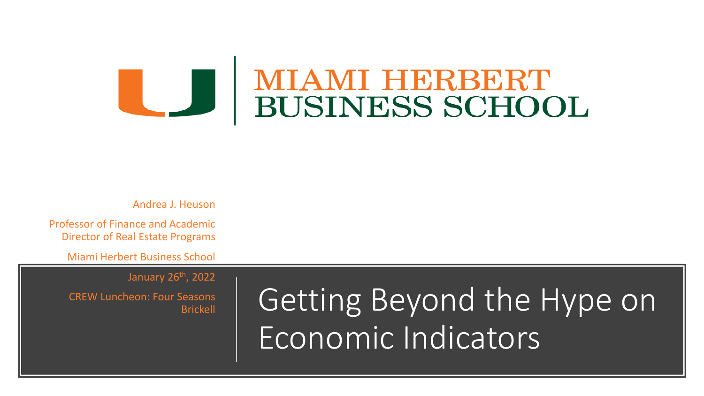### **MIAMI HERBERT BUSINESS SCHOOL**

Andrea J. Heuson

Professor of Finance and Academic Director of Real Estate Programs

Miami Herbert Business School

January 26th, 2022

CREW Luncheon: Four Seasons Brickell

Getting Beyond the Hype on Economic Indicators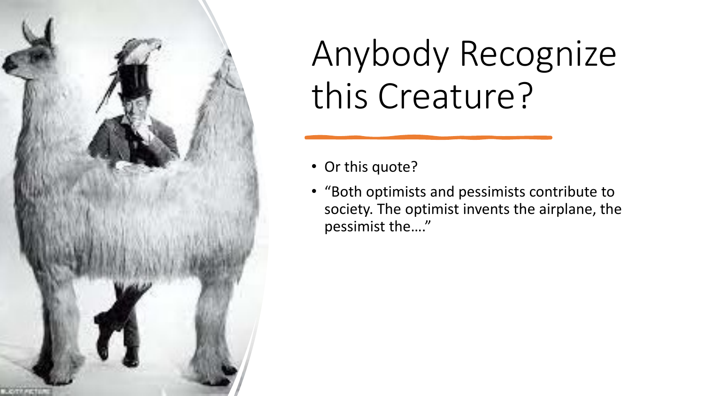

# Anybody Recognize this Creature?

- Or this quote?
- "Both optimists and pessimists contribute to society. The optimist invents the airplane, the pessimist the…."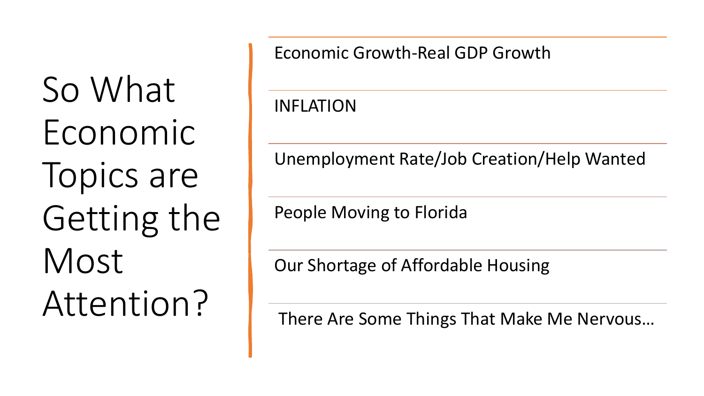So What Economic Topics are Getting the Most Attention?

Economic Growth-Real GDP Growth

INFLATION

Unemployment Rate/Job Creation/Help Wanted

People Moving to Florida

Our Shortage of Affordable Housing

There Are Some Things That Make Me Nervous…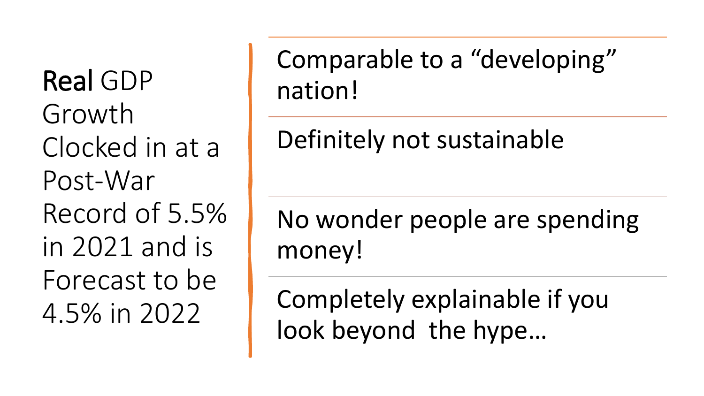Real GDP Growth Clocked in at a Post-War Record of 5.5% in 2021 and is Forecast to be 4.5% in 2022

Comparable to a "developing" nation!

Definitely not sustainable

No wonder people are spending money!

Completely explainable if you look beyond the hype…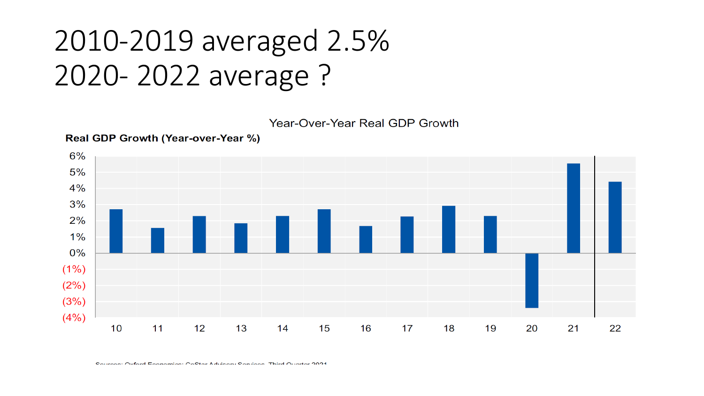### 2010-2019 averaged 2.5% 2020- 2022 average ?

Year-Over-Year Real GDP Growth



Real GDP Growth (Year-over-Year %)

Courseon: Oxford Economics: CoCtor Advisory Consison Third Ouartor 2024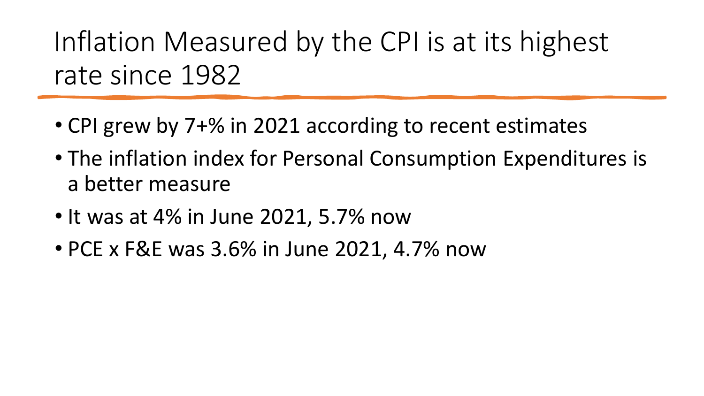Inflation Measured by the CPI is at its highest rate since 1982

- CPI grew by 7+% in 2021 according to recent estimates
- The inflation index for Personal Consumption Expenditures is a better measure
- It was at 4% in June 2021, 5.7% now
- PCE x F&E was 3.6% in June 2021, 4.7% now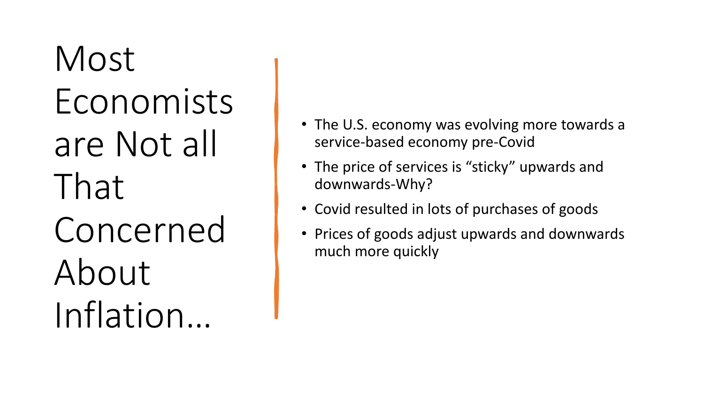Most Economists are Not all That Concerned About Inflation…

- The U.S. economy was evolving more towards a service-based economy pre-Covid
- The price of services is "sticky" upwards and downwards-Why?
- Covid resulted in lots of purchases of goods
- Prices of goods adjust upwards and downwards much more quickly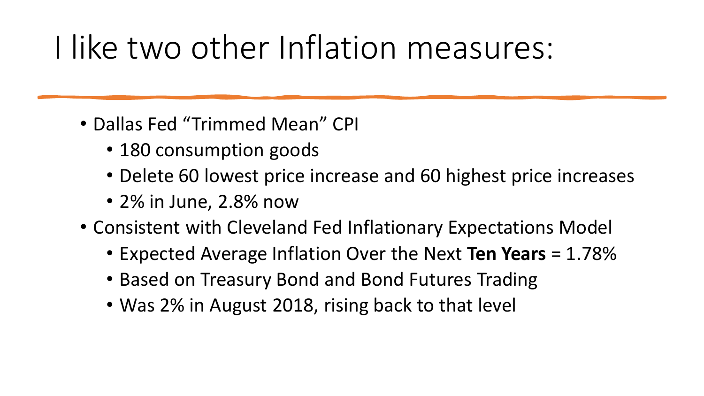## I like two other Inflation measures:

- Dallas Fed "Trimmed Mean" CPI
	- 180 consumption goods
	- Delete 60 lowest price increase and 60 highest price increases
	- 2% in June, 2.8% now
- Consistent with Cleveland Fed Inflationary Expectations Model
	- Expected Average Inflation Over the Next **Ten Years** = 1.78%
	- Based on Treasury Bond and Bond Futures Trading
	- Was 2% in August 2018, rising back to that level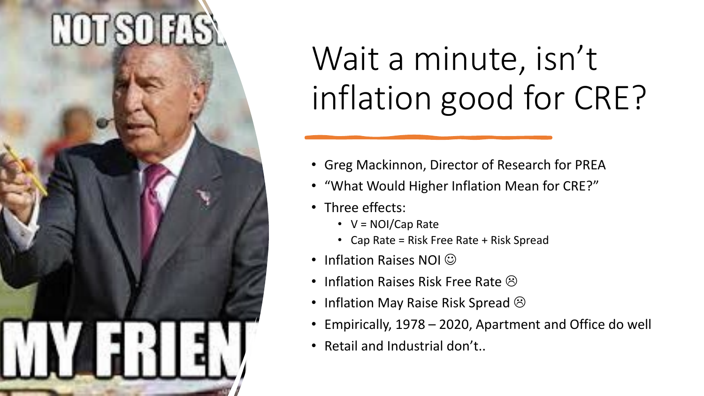# **HOUSOLLS**

## Wait a minute, isn't inflation good for CRE?

- Greg Mackinnon, Director of Research for PREA
- "What Would Higher Inflation Mean for CRE?"
- Three effects:
	- V = NOI/Cap Rate
	- Cap Rate = Risk Free Rate + Risk Spread
- Inflation Raises NOI  $\odot$
- Inflation Raises Risk Free Rate  $\odot$
- Inflation May Raise Risk Spread  $\odot$
- Empirically, 1978 2020, Apartment and Office do well
- Retail and Industrial don't..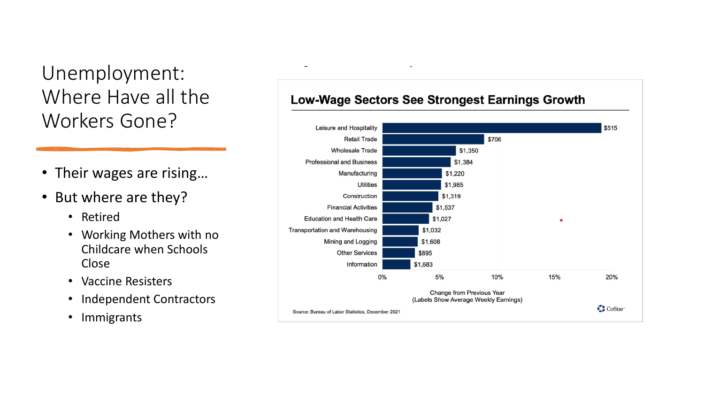### Unemployment: Where Have all the Workers Gone?

- Their wages are rising…
- But where are they?
	- Retired
	- Working Mothers with no Childcare when Schools Close
	- Vaccine Resisters
	- Independent Contractors
	- Immigrants

#### **Low-Wage Sectors See Strongest Earnings Growth**

 $\overline{\phantom{a}}$ 

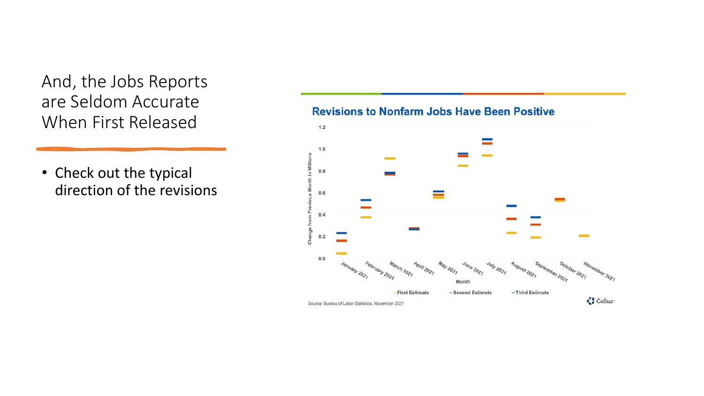And, the Jobs Reports are Seldom Accurate When First Released

• Check out the typical direction of the revisions

#### **Revisions to Nonfarm Jobs Have Been Positive**

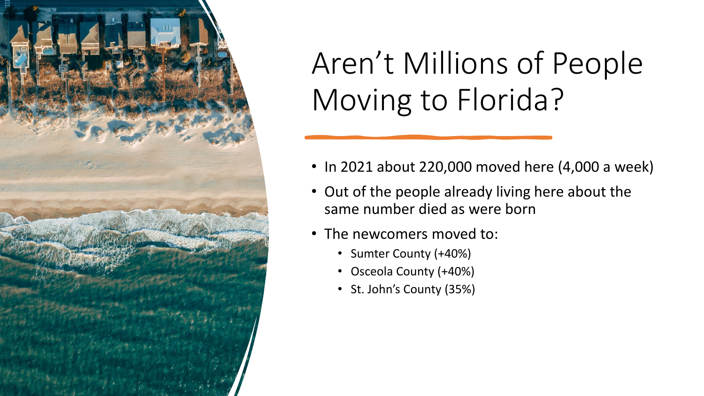

## Aren't Millions of People Moving to Florida?

- In 2021 about 220,000 moved here (4,000 a week)
- Out of the people already living here about the same number died as were born
- The newcomers moved to:
	- Sumter County (+40%)
	- Osceola County (+40%)
	- St. John's County (35%)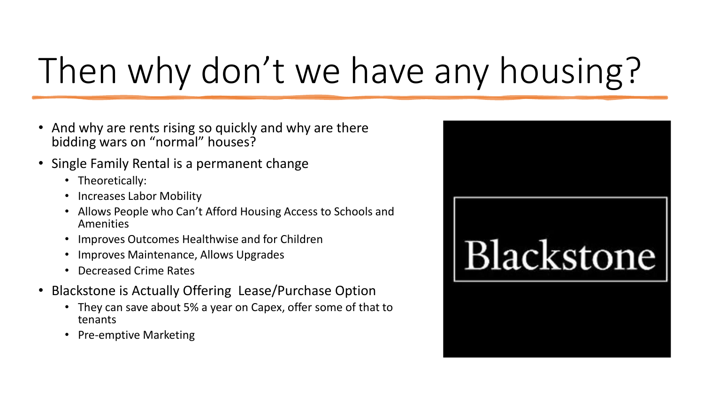# Then why don't we have any housing?

- And why are rents rising so quickly and why are there bidding wars on "normal" houses?
- Single Family Rental is a permanent change
	- Theoretically:
	- Increases Labor Mobility
	- Allows People who Can't Afford Housing Access to Schools and Amenities
	- Improves Outcomes Healthwise and for Children
	- Improves Maintenance, Allows Upgrades
	- Decreased Crime Rates
- Blackstone is Actually Offering Lease/Purchase Option
	- They can save about 5% a year on Capex, offer some of that to tenants
	- Pre-emptive Marketing